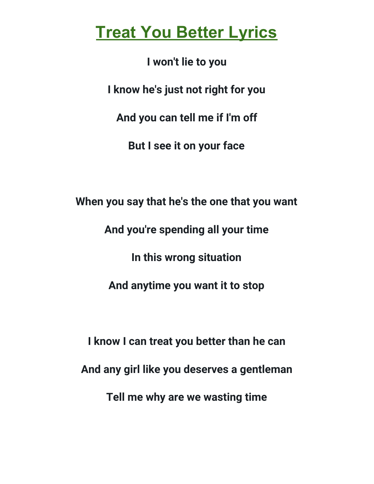**I won't lie to you I know he's just not right for you And you can tell me if I'm off But I see it on your face**

**When you say that he's the one that you want And you're spending all your time In this wrong situation And anytime you want it to stop I know I can treat you better than he can**

**And any girl like you deserves a gentleman**

**Tell me why are we wasting time**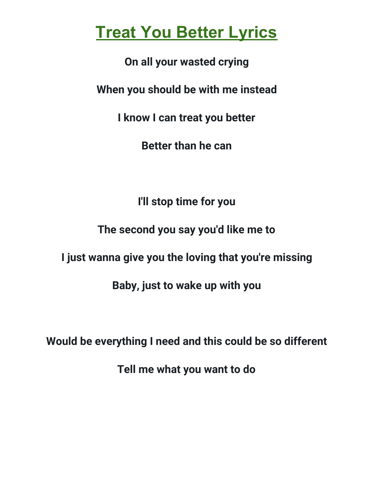**On all your wasted crying**

**When you should be with me instead**

**I know I can treat you better**

**Better than he can**

**I'll stop time for you**

**The second you say you'd like me to**

**I just wanna give you the loving that you're missing**

**Baby, just to wake up with you**

**Would be everything I need and this could be so different**

**Tell me what you want to do**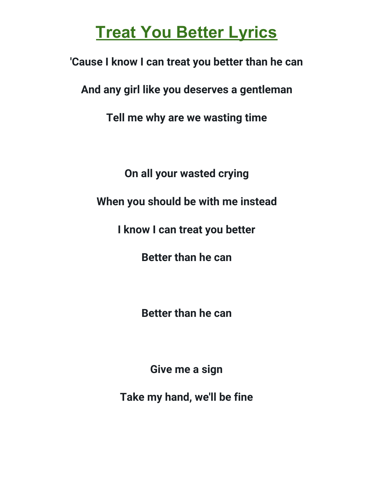**'Cause I know I can treat you better than he can**

**And any girl like you deserves a gentleman**

**Tell me why are we wasting time**

**On all your wasted crying**

**When you should be with me instead**

**I know I can treat you better**

**Better than he can**

**Better than he can**

**Give me a sign**

**Take my hand, we'll be fine**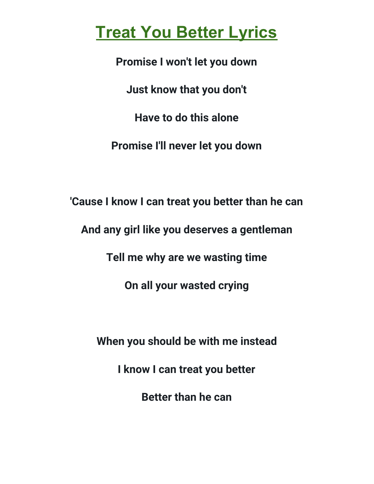**Promise I won't let you down**

**Just know that you don't**

**Have to do this alone**

**Promise I'll never let you down**

**'Cause I know I can treat you better than he can And any girl like you deserves a gentleman Tell me why are we wasting time On all your wasted crying**

**When you should be with me instead**

**I know I can treat you better**

**Better than he can**